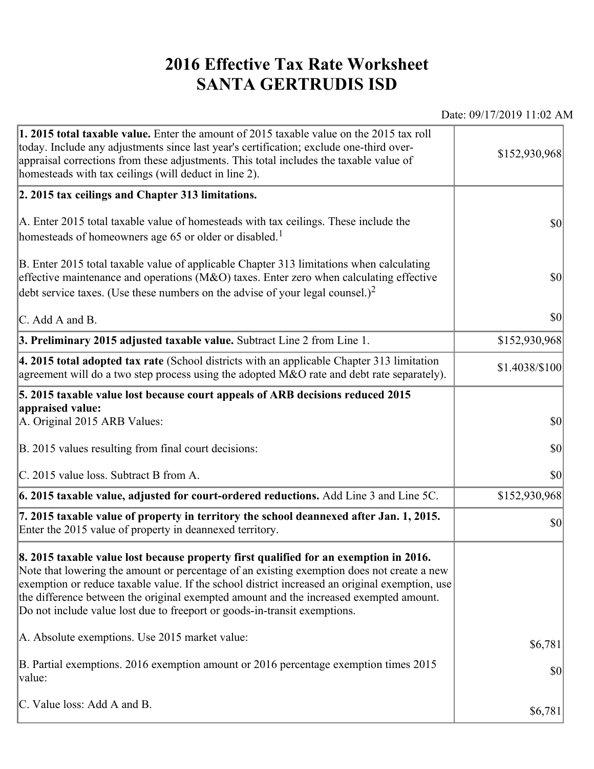## **2016 Effective Tax Rate Worksheet SANTA GERTRUDIS ISD**

Date: 09/17/2019 11:02 AM

| 1. 2015 total taxable value. Enter the amount of 2015 taxable value on the 2015 tax roll<br>today. Include any adjustments since last year's certification; exclude one-third over-<br>appraisal corrections from these adjustments. This total includes the taxable value of<br>homesteads with tax ceilings (will deduct in line 2).                                                                                                                       | \$152,930,968                       |
|--------------------------------------------------------------------------------------------------------------------------------------------------------------------------------------------------------------------------------------------------------------------------------------------------------------------------------------------------------------------------------------------------------------------------------------------------------------|-------------------------------------|
| 2. 2015 tax ceilings and Chapter 313 limitations.                                                                                                                                                                                                                                                                                                                                                                                                            |                                     |
| A. Enter 2015 total taxable value of homesteads with tax ceilings. These include the<br>homesteads of homeowners age 65 or older or disabled. <sup>1</sup>                                                                                                                                                                                                                                                                                                   | $ 10\rangle$                        |
| B. Enter 2015 total taxable value of applicable Chapter 313 limitations when calculating<br>effective maintenance and operations ( $M&O$ ) taxes. Enter zero when calculating effective<br>debt service taxes. (Use these numbers on the advise of your legal counsel.) <sup>2</sup>                                                                                                                                                                         | $ 10\rangle$                        |
| C. Add A and B.                                                                                                                                                                                                                                                                                                                                                                                                                                              | $ 10\rangle$                        |
| 3. Preliminary 2015 adjusted taxable value. Subtract Line 2 from Line 1.                                                                                                                                                                                                                                                                                                                                                                                     | \$152,930,968                       |
| 4. 2015 total adopted tax rate (School districts with an applicable Chapter 313 limitation<br>agreement will do a two step process using the adopted M&O rate and debt rate separately).                                                                                                                                                                                                                                                                     | \$1.4038/\$100                      |
| 5. 2015 taxable value lost because court appeals of ARB decisions reduced 2015                                                                                                                                                                                                                                                                                                                                                                               |                                     |
| appraised value:<br>A. Original 2015 ARB Values:                                                                                                                                                                                                                                                                                                                                                                                                             | $ 10\rangle$                        |
| B. 2015 values resulting from final court decisions:                                                                                                                                                                                                                                                                                                                                                                                                         | 30                                  |
| C. 2015 value loss. Subtract B from A.                                                                                                                                                                                                                                                                                                                                                                                                                       | $\vert \mathbf{S} \mathbf{O} \vert$ |
| 6. 2015 taxable value, adjusted for court-ordered reductions. Add Line 3 and Line 5C.                                                                                                                                                                                                                                                                                                                                                                        | \$152,930,968                       |
| 7. 2015 taxable value of property in territory the school deannexed after Jan. 1, 2015.<br>Enter the 2015 value of property in deannexed territory.                                                                                                                                                                                                                                                                                                          | $ 10\rangle$                        |
| 8. 2015 taxable value lost because property first qualified for an exemption in 2016.<br>Note that lowering the amount or percentage of an existing exemption does not create a new<br>exemption or reduce taxable value. If the school district increased an original exemption, use<br>the difference between the original exempted amount and the increased exempted amount.<br>Do not include value lost due to freeport or goods-in-transit exemptions. |                                     |
| A. Absolute exemptions. Use 2015 market value:                                                                                                                                                                                                                                                                                                                                                                                                               | \$6,781                             |
| B. Partial exemptions. 2016 exemption amount or 2016 percentage exemption times 2015<br>value:                                                                                                                                                                                                                                                                                                                                                               | $ 10\rangle$                        |
| C. Value loss: Add A and B.                                                                                                                                                                                                                                                                                                                                                                                                                                  | \$6,781                             |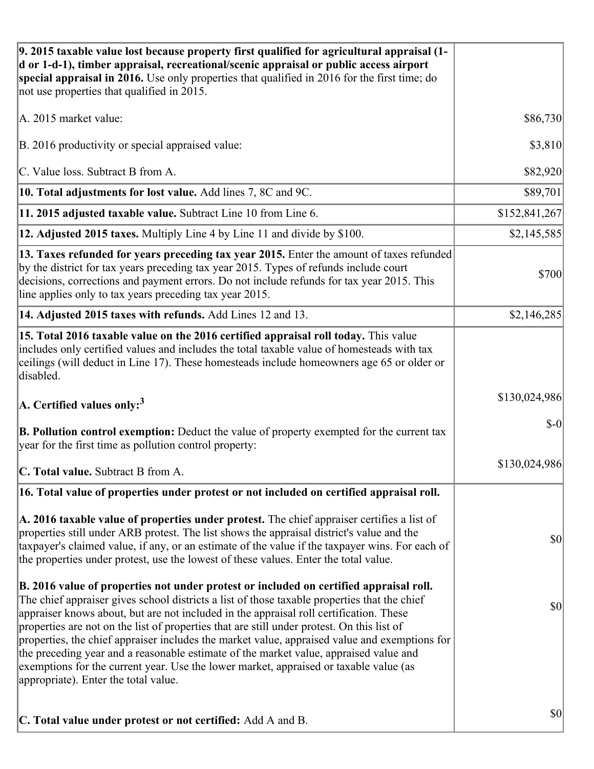| 9. 2015 taxable value lost because property first qualified for agricultural appraisal (1-<br>d or 1-d-1), timber appraisal, recreational/scenic appraisal or public access airport<br>special appraisal in 2016. Use only properties that qualified in 2016 for the first time; do<br>not use properties that qualified in 2015.                                                                                                                                                                                                                                                                                                                                                                         |               |
|-----------------------------------------------------------------------------------------------------------------------------------------------------------------------------------------------------------------------------------------------------------------------------------------------------------------------------------------------------------------------------------------------------------------------------------------------------------------------------------------------------------------------------------------------------------------------------------------------------------------------------------------------------------------------------------------------------------|---------------|
| A. 2015 market value:                                                                                                                                                                                                                                                                                                                                                                                                                                                                                                                                                                                                                                                                                     | \$86,730      |
| B. 2016 productivity or special appraised value:                                                                                                                                                                                                                                                                                                                                                                                                                                                                                                                                                                                                                                                          | \$3,810       |
| C. Value loss. Subtract B from A.                                                                                                                                                                                                                                                                                                                                                                                                                                                                                                                                                                                                                                                                         | \$82,920      |
| 10. Total adjustments for lost value. Add lines 7, 8C and 9C.                                                                                                                                                                                                                                                                                                                                                                                                                                                                                                                                                                                                                                             | \$89,701      |
| 11. 2015 adjusted taxable value. Subtract Line 10 from Line 6.                                                                                                                                                                                                                                                                                                                                                                                                                                                                                                                                                                                                                                            | \$152,841,267 |
| 12. Adjusted 2015 taxes. Multiply Line 4 by Line 11 and divide by \$100.                                                                                                                                                                                                                                                                                                                                                                                                                                                                                                                                                                                                                                  | \$2,145,585   |
| 13. Taxes refunded for years preceding tax year 2015. Enter the amount of taxes refunded<br>by the district for tax years preceding tax year 2015. Types of refunds include court<br>decisions, corrections and payment errors. Do not include refunds for tax year 2015. This<br>line applies only to tax years preceding tax year 2015.                                                                                                                                                                                                                                                                                                                                                                 | \$700         |
| 14. Adjusted 2015 taxes with refunds. Add Lines 12 and 13.                                                                                                                                                                                                                                                                                                                                                                                                                                                                                                                                                                                                                                                | \$2,146,285   |
| 15. Total 2016 taxable value on the 2016 certified appraisal roll today. This value<br>includes only certified values and includes the total taxable value of homesteads with tax<br>ceilings (will deduct in Line 17). These homesteads include homeowners age 65 or older or<br>disabled.                                                                                                                                                                                                                                                                                                                                                                                                               |               |
| A. Certified values only: <sup>3</sup>                                                                                                                                                                                                                                                                                                                                                                                                                                                                                                                                                                                                                                                                    | \$130,024,986 |
| <b>B. Pollution control exemption:</b> Deduct the value of property exempted for the current tax<br>year for the first time as pollution control property:                                                                                                                                                                                                                                                                                                                                                                                                                                                                                                                                                | $$-0$         |
| C. Total value. Subtract B from A.                                                                                                                                                                                                                                                                                                                                                                                                                                                                                                                                                                                                                                                                        | \$130,024,986 |
| 16. Total value of properties under protest or not included on certified appraisal roll.                                                                                                                                                                                                                                                                                                                                                                                                                                                                                                                                                                                                                  |               |
| A. 2016 taxable value of properties under protest. The chief appraiser certifies a list of<br>properties still under ARB protest. The list shows the appraisal district's value and the<br>taxpayer's claimed value, if any, or an estimate of the value if the taxpayer wins. For each of<br>the properties under protest, use the lowest of these values. Enter the total value.                                                                                                                                                                                                                                                                                                                        | \$0           |
| B. 2016 value of properties not under protest or included on certified appraisal roll.<br>The chief appraiser gives school districts a list of those taxable properties that the chief<br>appraiser knows about, but are not included in the appraisal roll certification. These<br>properties are not on the list of properties that are still under protest. On this list of<br>properties, the chief appraiser includes the market value, appraised value and exemptions for<br>the preceding year and a reasonable estimate of the market value, appraised value and<br>exemptions for the current year. Use the lower market, appraised or taxable value (as<br>appropriate). Enter the total value. | \$0           |
| C. Total value under protest or not certified: Add A and B.                                                                                                                                                                                                                                                                                                                                                                                                                                                                                                                                                                                                                                               | \$0           |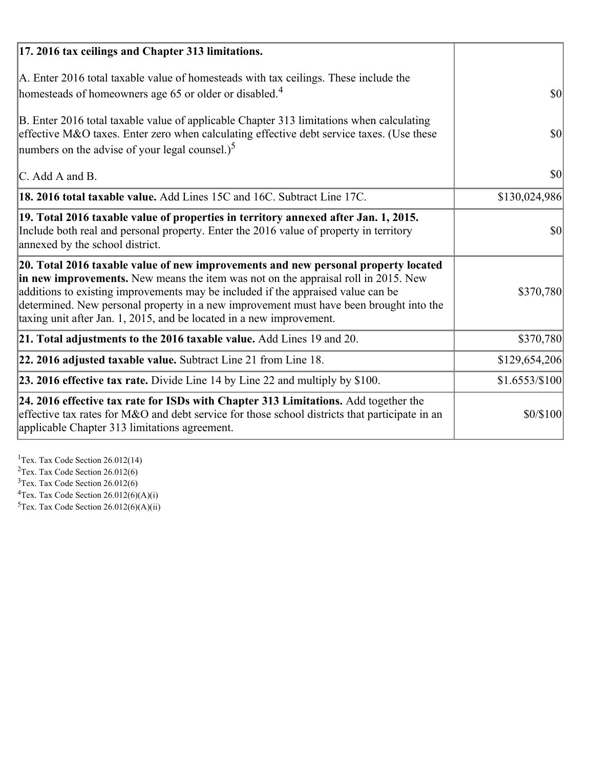| 17. 2016 tax ceilings and Chapter 313 limitations.                                                                                                                                                                                                                                                                                                                                                                             |                    |
|--------------------------------------------------------------------------------------------------------------------------------------------------------------------------------------------------------------------------------------------------------------------------------------------------------------------------------------------------------------------------------------------------------------------------------|--------------------|
| A. Enter 2016 total taxable value of homesteads with tax ceilings. These include the<br>homesteads of homeowners age 65 or older or disabled. <sup>4</sup>                                                                                                                                                                                                                                                                     | <b>\$0</b>         |
| B. Enter 2016 total taxable value of applicable Chapter 313 limitations when calculating<br>effective M&O taxes. Enter zero when calculating effective debt service taxes. (Use these<br>numbers on the advise of your legal counsel.) <sup>5</sup>                                                                                                                                                                            | $ 10\rangle$       |
| $\mathcal{C}$ . Add A and B.                                                                                                                                                                                                                                                                                                                                                                                                   | $ 10\rangle$       |
| 18. 2016 total taxable value. Add Lines 15C and 16C. Subtract Line 17C.                                                                                                                                                                                                                                                                                                                                                        | \$130,024,986      |
| 19. Total 2016 taxable value of properties in territory annexed after Jan. 1, 2015.<br>Include both real and personal property. Enter the 2016 value of property in territory<br>annexed by the school district.                                                                                                                                                                                                               | $\vert$ so $\vert$ |
| 20. Total 2016 taxable value of new improvements and new personal property located<br>in new improvements. New means the item was not on the appraisal roll in 2015. New<br>additions to existing improvements may be included if the appraised value can be<br>determined. New personal property in a new improvement must have been brought into the<br>taxing unit after Jan. 1, 2015, and be located in a new improvement. | \$370,780          |
| 21. Total adjustments to the 2016 taxable value. Add Lines 19 and 20.                                                                                                                                                                                                                                                                                                                                                          | \$370,780          |
| 22. 2016 adjusted taxable value. Subtract Line 21 from Line 18.                                                                                                                                                                                                                                                                                                                                                                | \$129,654,206      |
| 23. 2016 effective tax rate. Divide Line 14 by Line 22 and multiply by $$100$ .                                                                                                                                                                                                                                                                                                                                                | \$1.6553/\$100     |
| $ 24.2016$ effective tax rate for ISDs with Chapter 313 Limitations. Add together the<br>effective tax rates for M&O and debt service for those school districts that participate in an<br>applicable Chapter 313 limitations agreement.                                                                                                                                                                                       | \$0/\$100          |

<sup>1</sup>Tex. Tax Code Section 26.012(14)  $2$ Tex. Tax Code Section 26.012(6)  $3$ Tex. Tax Code Section 26.012(6)  ${}^{4}$ Tex. Tax Code Section 26.012(6)(A)(i)

 $5$ Tex. Tax Code Section 26.012(6)(A)(ii)